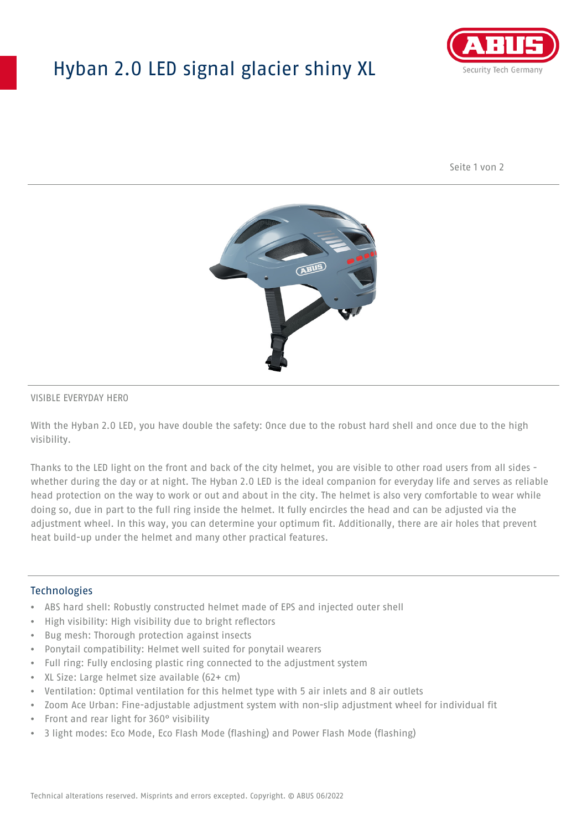## Hyban 2.0 LED signal glacier shiny XL



Seite 1 von 2



#### VISIBLE EVERYDAY HERO

With the Hyban 2.0 LED, you have double the safety: Once due to the robust hard shell and once due to the high visibility.

Thanks to the LED light on the front and back of the city helmet, you are visible to other road users from all sides whether during the day or at night. The Hyban 2.0 LED is the ideal companion for everyday life and serves as reliable head protection on the way to work or out and about in the city. The helmet is also very comfortable to wear while doing so, due in part to the full ring inside the helmet. It fully encircles the head and can be adjusted via the adjustment wheel. In this way, you can determine your optimum fit. Additionally, there are air holes that prevent heat build-up under the helmet and many other practical features.

#### Technologies

- ABS hard shell: Robustly constructed helmet made of EPS and injected outer shell
- High visibility: High visibility due to bright reflectors
- Bug mesh: Thorough protection against insects
- Ponytail compatibility: Helmet well suited for ponytail wearers
- Full ring: Fully enclosing plastic ring connected to the adjustment system
- XL Size: Large helmet size available (62+ cm)
- Ventilation: Optimal ventilation for this helmet type with 5 air inlets and 8 air outlets
- Zoom Ace Urban: Fine-adjustable adjustment system with non-slip adjustment wheel for individual fit
- Front and rear light for 360° visibility
- 3 light modes: Eco Mode, Eco Flash Mode (flashing) and Power Flash Mode (flashing)